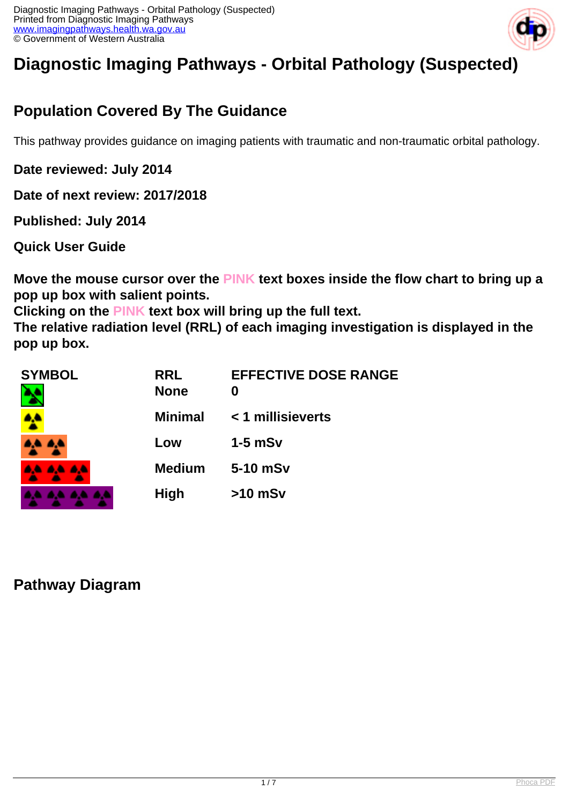

# **Diagnostic Imaging Pathways - Orbital Pathology (Suspected)**

## **Population Covered By The Guidance**

This pathway provides guidance on imaging patients with traumatic and non-traumatic orbital pathology.

**Date reviewed: July 2014**

**Date of next review: 2017/2018**

**Published: July 2014** 

**Quick User Guide**

**Move the mouse cursor over the PINK text boxes inside the flow chart to bring up a pop up box with salient points.**

**Clicking on the PINK text box will bring up the full text.**

**The relative radiation level (RRL) of each imaging investigation is displayed in the pop up box.**

| <b>SYMBOL</b> | <b>RRL</b><br><b>None</b> | <b>EFFECTIVE DOSE RANGE</b><br>0 |
|---------------|---------------------------|----------------------------------|
|               | <b>Minimal</b>            | < 1 millisieverts                |
|               | Low                       | $1-5$ mSv                        |
| 44 44 44      | <b>Medium</b>             | 5-10 mSv                         |
|               | <b>High</b>               | $>10$ mSv                        |

## **Pathway Diagram**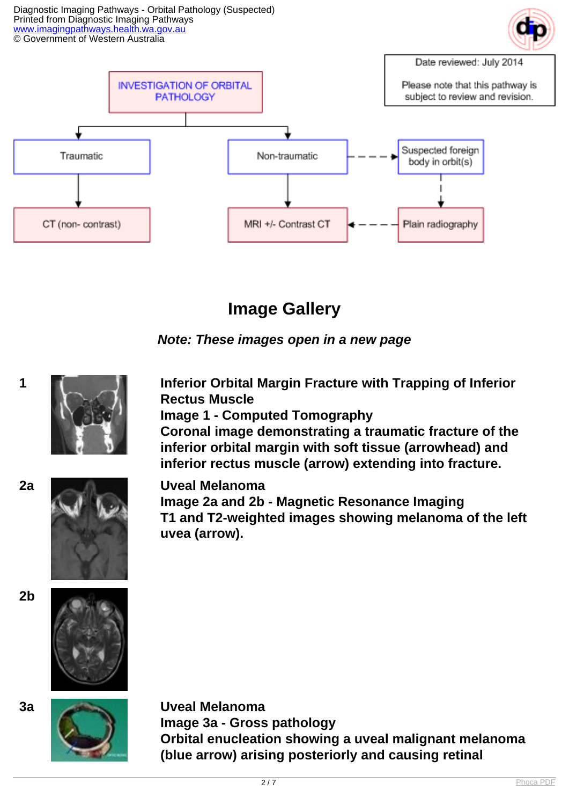Diagnostic Imaging Pathways - Orbital Pathology (Suspected) Printed from Diagnostic Imaging Pathways [www.imagingpathways.health.wa.gov.au](http://www.imagingpathways.health.wa.gov.au/) © Government of Western Australia





## **Image Gallery**



**1 Inferior Orbital Margin Fracture with Trapping of Inferior Rectus Muscle**

**Image 1 - Computed Tomography**

**Coronal image demonstrating a traumatic fracture of the inferior orbital margin with soft tissue (arrowhead) and inferior rectus muscle (arrow) extending into fracture.**



**2a Uveal Melanoma Image 2a and 2b - Magnetic Resonance Imaging T1 and T2-weighted images showing melanoma of the left uvea (arrow).**





**3a Uveal Melanoma Image 3a - Gross pathology Orbital enucleation showing a uveal malignant melanoma (blue arrow) arising posteriorly and causing retinal**

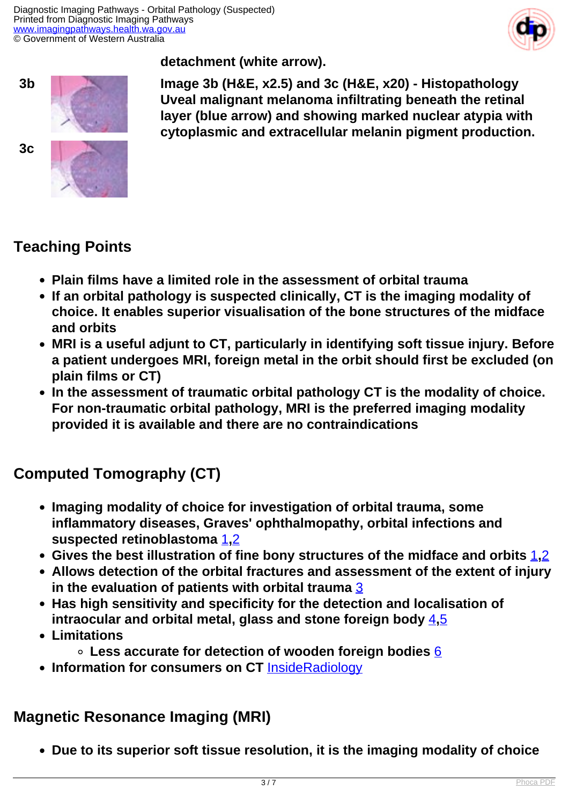

**detachment (white arrow).**



**3b Image 3b (H&E, x2.5) and 3c (H&E, x20) - Histopathology Uveal malignant melanoma infiltrating beneath the retinal layer (blue arrow) and showing marked nuclear atypia with cytoplasmic and extracellular melanin pigment production.**

## **Teaching Points**

- **Plain films have a limited role in the assessment of orbital trauma**
- **If an orbital pathology is suspected clinically, CT is the imaging modality of choice. It enables superior visualisation of the bone structures of the midface and orbits**
- **MRI is a useful adjunt to CT, particularly in identifying soft tissue injury. Before a patient undergoes MRI, foreign metal in the orbit should first be excluded (on plain films or CT)**
- **In the assessment of traumatic orbital pathology CT is the modality of choice. For non-traumatic orbital pathology, MRI is the preferred imaging modality provided it is available and there are no contraindications**

## **Computed Tomography (CT)**

- **Imaging modality of choice for investigation of orbital trauma, some inflammatory diseases, Graves' ophthalmopathy, orbital infections and suspected retinoblastoma** [1](index.php?option=com_content&view=article&id=89&tab=references#1)**,**[2](index.php?option=com_content&view=article&id=89&tab=references#2)
- **Gives the best illustration of fine bony structures of the midface and orbits** [1](index.php?option=com_content&view=article&id=89&tab=references#1)**,**[2](index.php?option=com_content&view=article&id=89&tab=references#2)
- **Allows detection of the orbital fractures and assessment of the extent of injury in the evaluation of patients with orbital trauma** [3](index.php?option=com_content&view=article&id=89&tab=references#3)
- **Has high sensitivity and specificity for the detection and localisation of intraocular and orbital metal, glass and stone foreign body** [4](index.php?option=com_content&view=article&id=89&tab=references#4)**,**[5](index.php?option=com_content&view=article&id=89&tab=references#5)
- **Limitations**
	- **Less accurate for detection of wooden foreign bodies** [6](index.php?option=com_content&view=article&id=89&tab=references#6)
- **Information for consumers on CT** [InsideRadiology](http://insideradiology.com.au/pages/view.php?T_id=61#.U6pHdnbc-ec)

## **Magnetic Resonance Imaging (MRI)**

**Due to its superior soft tissue resolution, it is the imaging modality of choice**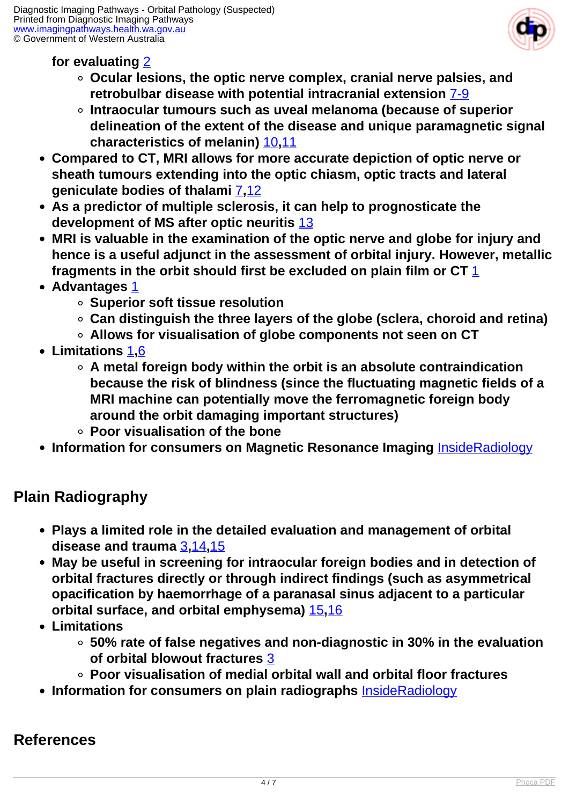

### **for evaluating** [2](index.php?option=com_content&view=article&id=89&tab=references#2)

- **Ocular lesions, the optic nerve complex, cranial nerve palsies, and retrobulbar disease with potential intracranial extension** [7-9](index.php?option=com_content&view=article&id=89&tab=references#7)
- **Intraocular tumours such as uveal melanoma (because of superior delineation of the extent of the disease and unique paramagnetic signal characteristics of melanin)** [10](index.php?option=com_content&view=article&id=89&tab=references#10)**,**[11](index.php?option=com_content&view=article&id=89&tab=references#11)
- **Compared to CT, MRI allows for more accurate depiction of optic nerve or sheath tumours extending into the optic chiasm, optic tracts and lateral geniculate bodies of thalami** [7](index.php?option=com_content&view=article&id=89&tab=references#7)**,**[12](index.php?option=com_content&view=article&id=89&tab=references#12)
- **As a predictor of multiple sclerosis, it can help to prognosticate the development of MS after optic neuritis** [13](index.php?option=com_content&view=article&id=89&tab=references#13)
- **MRI is valuable in the examination of the optic nerve and globe for injury and hence is a useful adjunct in the assessment of orbital injury. However, metallic fragments in the orbit should first be excluded on plain film or CT** [1](index.php?option=com_content&view=article&id=89&tab=references#1)
- **Advantages** [1](index.php?option=com_content&view=article&id=89&tab=references#1)
	- **Superior soft tissue resolution**
	- **Can distinguish the three layers of the globe (sclera, choroid and retina)**
	- **Allows for visualisation of globe components not seen on CT**
- **Limitations** [1](index.php?option=com_content&view=article&id=89&tab=references#1)**,**[6](index.php?option=com_content&view=article&id=89&tab=references#6)
	- **A metal foreign body within the orbit is an absolute contraindication because the risk of blindness (since the fluctuating magnetic fields of a MRI machine can potentially move the ferromagnetic foreign body around the orbit damaging important structures)**
	- **Poor visualisation of the bone**
- **Information for consumers on Magnetic Resonance Imaging** [InsideRadiology](http://insideradiology.com.au/pages/view.php?T_id=53#.U6pISnbc-ec)

## **Plain Radiography**

- **Plays a limited role in the detailed evaluation and management of orbital disease and trauma** [3](index.php?option=com_content&view=article&id=89&tab=references#3)**,**[14](index.php?option=com_content&view=article&id=89&tab=references#14)**,**[15](index.php?option=com_content&view=article&id=89&tab=references#15)
- **May be useful in screening for intraocular foreign bodies and in detection of orbital fractures directly or through indirect findings (such as asymmetrical opacification by haemorrhage of a paranasal sinus adjacent to a particular orbital surface, and orbital emphysema)** [15](index.php?option=com_content&view=article&id=89&tab=references#15)**,**[16](index.php?option=com_content&view=article&id=89&tab=references#16)
- **Limitations**
	- **50% rate of false negatives and non-diagnostic in 30% in the evaluation of orbital blowout fractures** [3](index.php?option=com_content&view=article&id=89&tab=references#3)
	- **Poor visualisation of medial orbital wall and orbital floor fractures**
- **Information for consumers on plain radiographs <b>[InsideRadiology](http://insideradiology.com.au/pages/view.php?T_id=24#.U7zs_nbc-ec)**

### **References**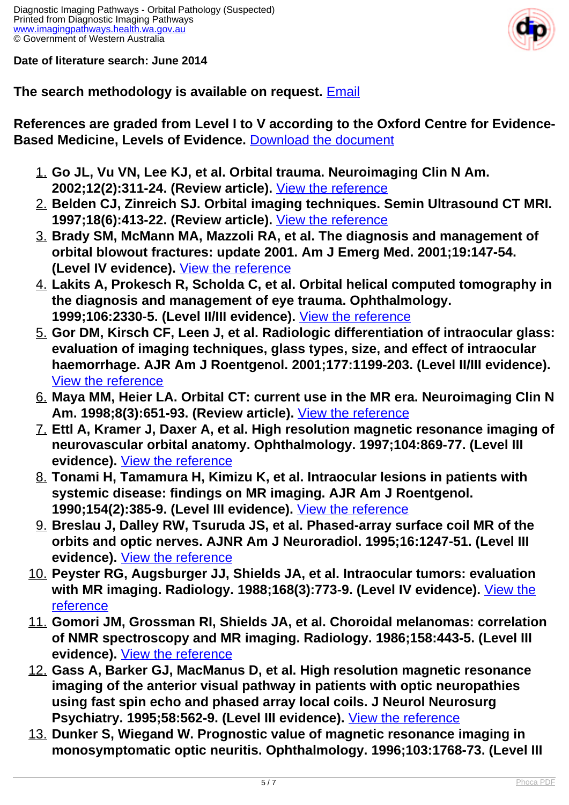**Date of literature search: June 2014**



### **The search methodology is available on request.** [Email](index.php/contact-us)

**References are graded from Level I to V according to the Oxford Centre for Evidence-Based Medicine, Levels of Evidence.** [Download the document](http://www.cebm.net/wp-content/uploads/2014/06/CEBM-Levels-of-Evidence-2.1.pdf)

- 1. **Go JL, Vu VN, Lee KJ, et al. Orbital trauma. Neuroimaging Clin N Am. 2002;12(2):311-24. (Review article).** [View the reference](http://www.ncbi.nlm.nih.gov/pubmed/12391638)
- 2. **Belden CJ, Zinreich SJ. Orbital imaging techniques. Semin Ultrasound CT MRI. 1997;18(6):413-22. (Review article).** [View the reference](http://www.ncbi.nlm.nih.gov/pubmed/9416658)
- 3. **Brady SM, McMann MA, Mazzoli RA, et al. The diagnosis and management of orbital blowout fractures: update 2001. Am J Emerg Med. 2001;19:147-54. (Level IV evidence).** [View the reference](http://www.ncbi.nlm.nih.gov/pubmed/11239261)
- 4. **Lakits A, Prokesch R, Scholda C, et al. Orbital helical computed tomography in the diagnosis and management of eye trauma. Ophthalmology. 1999;106:2330-5. (Level II/III evidence).** [View the reference](http://www.ncbi.nlm.nih.gov/pubmed/10599667?dopt=Abstract)
- 5. **Gor DM, Kirsch CF, Leen J, et al. Radiologic differentiation of intraocular glass: evaluation of imaging techniques, glass types, size, and effect of intraocular haemorrhage. AJR Am J Roentgenol. 2001;177:1199-203. (Level II/III evidence).**  [View the reference](http://www.ncbi.nlm.nih.gov/pubmed/11641202?dopt=Abstract)
- 6. **Maya MM, Heier LA. Orbital CT: current use in the MR era. Neuroimaging Clin N Am. 1998;8(3):651-93. (Review article).** [View the reference](http://www.ncbi.nlm.nih.gov/pubmed/9673318)
- 7. **Ettl A, Kramer J, Daxer A, et al. High resolution magnetic resonance imaging of neurovascular orbital anatomy. Ophthalmology. 1997;104:869-77. (Level III evidence).** [View the reference](http://www.ncbi.nlm.nih.gov/pubmed/9160037)
- 8. **Tonami H, Tamamura H, Kimizu K, et al. Intraocular lesions in patients with systemic disease: findings on MR imaging. AJR Am J Roentgenol. 1990;154(2):385-9. (Level III evidence).** [View the reference](http://www.ncbi.nlm.nih.gov/pubmed/2105033)
- 9. **Breslau J, Dalley RW, Tsuruda JS, et al. Phased-array surface coil MR of the orbits and optic nerves. AJNR Am J Neuroradiol. 1995;16:1247-51. (Level III evidence).** [View the reference](http://www.ncbi.nlm.nih.gov/pubmed/7677017)
- 10. **Peyster RG, Augsburger JJ, Shields JA, et al. Intraocular tumors: evaluation with MR imaging. Radiology. 1988;168(3):773-9. (Level IV evidence).** [View the](http://www.ncbi.nlm.nih.gov/pubmed/3406407) [reference](http://www.ncbi.nlm.nih.gov/pubmed/3406407)
- 11. **Gomori JM, Grossman RI, Shields JA, et al. Choroidal melanomas: correlation of NMR spectroscopy and MR imaging. Radiology. 1986;158:443-5. (Level III evidence).** [View the reference](http://www.ncbi.nlm.nih.gov/pubmed/3941871)
- 12. **Gass A, Barker GJ, MacManus D, et al. High resolution magnetic resonance imaging of the anterior visual pathway in patients with optic neuropathies using fast spin echo and phased array local coils. J Neurol Neurosurg Psychiatry. 1995;58:562-9. (Level III evidence).** [View the reference](http://www.ncbi.nlm.nih.gov/pubmed/7745403)
- 13. **Dunker S, Wiegand W. Prognostic value of magnetic resonance imaging in monosymptomatic optic neuritis. Ophthalmology. 1996;103:1768-73. (Level III**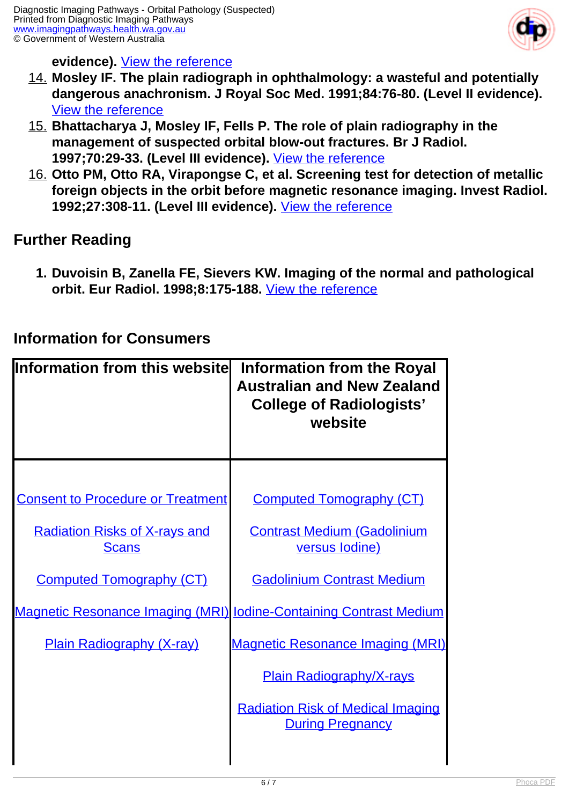

#### **evidence).** [View the reference](http://www.ncbi.nlm.nih.gov/pubmed/8942868)

- 14. **Mosley IF. The plain radiograph in ophthalmology: a wasteful and potentially dangerous anachronism. J Royal Soc Med. 1991;84:76-80. (Level II evidence).**  [View the reference](http://www.ncbi.nlm.nih.gov/pubmed/1999818?dopt=Abstract)
- 15. **Bhattacharya J, Mosley IF, Fells P. The role of plain radiography in the management of suspected orbital blow-out fractures. Br J Radiol. 1997;70:29-33. (Level III evidence).** [View the reference](http://www.ncbi.nlm.nih.gov/pubmed/9059291)
- 16. **Otto PM, Otto RA, Virapongse C, et al. Screening test for detection of metallic foreign objects in the orbit before magnetic resonance imaging. Invest Radiol. 1992;27:308-11. (Level III evidence).** [View the reference](http://www.ncbi.nlm.nih.gov/pubmed/1601622)

## **Further Reading**

ı

**1. Duvoisin B, Zanella FE, Sievers KW. Imaging of the normal and pathological orbit. Eur Radiol. 1998;8:175-188.** [View the reference](http://www.ncbi.nlm.nih.gov/pubmed/9477263?dopt=Abstract)

### **Information for Consumers**

| Information from this websitel                                            | <b>Information from the Royal</b><br><b>Australian and New Zealand</b><br><b>College of Radiologists'</b><br>website |
|---------------------------------------------------------------------------|----------------------------------------------------------------------------------------------------------------------|
| <b>Consent to Procedure or Treatment</b>                                  | <b>Computed Tomography (CT)</b>                                                                                      |
| <b>Radiation Risks of X-rays and</b><br><b>Scans</b>                      | <b>Contrast Medium (Gadolinium</b><br>versus lodine)                                                                 |
| <b>Computed Tomography (CT)</b>                                           | <b>Gadolinium Contrast Medium</b>                                                                                    |
| <b>Magnetic Resonance Imaging (MRI) lodine-Containing Contrast Medium</b> |                                                                                                                      |
| <b>Plain Radiography (X-ray)</b>                                          | <b>Magnetic Resonance Imaging (MRI)</b>                                                                              |
|                                                                           | <b>Plain Radiography/X-rays</b>                                                                                      |
|                                                                           | <b>Radiation Risk of Medical Imaging</b><br><b>During Pregnancy</b>                                                  |